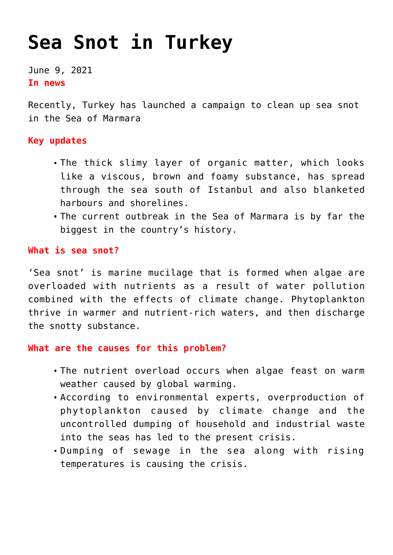# **[Sea Snot in Turkey](https://journalsofindia.com/sea-snot-in-turkey/)**

June 9, 2021 **In news** 

Recently, Turkey has launched a campaign to clean up sea snot in the Sea of Marmara

## **Key updates**

- The thick slimy layer of organic matter, which looks like a viscous, brown and foamy substance, has spread through the sea south of Istanbul and also blanketed harbours and shorelines.
- The current outbreak in the Sea of Marmara is by far the biggest in the country's history.

## **What is sea snot?**

'Sea snot' is marine mucilage that is formed when algae are overloaded with nutrients as a result of water pollution combined with the effects of climate change. Phytoplankton thrive in warmer and nutrient-rich waters, and then discharge the snotty substance.

#### **What are the causes for this problem?**

- The nutrient overload occurs when algae feast on warm weather caused by global warming.
- According to environmental experts, overproduction of phytoplankton caused by climate change and the uncontrolled dumping of household and industrial waste into the seas has led to the present crisis.
- Dumping of sewage in the sea along with rising temperatures is causing the crisis.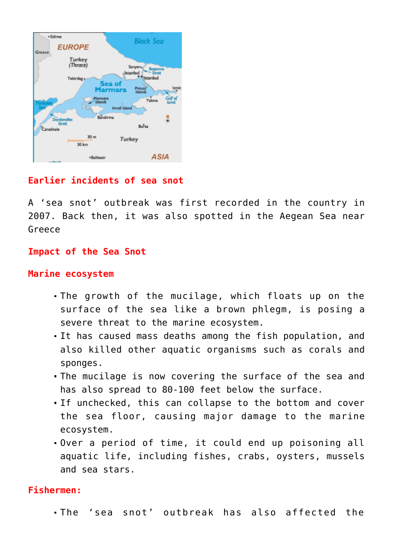

# **Earlier incidents of sea snot**

A 'sea snot' outbreak was first recorded in the country in 2007. Back then, it was also spotted in the Aegean Sea near Greece

#### **Impact of the Sea Snot**

#### **Marine ecosystem**

- The growth of the mucilage, which floats up on the surface of the sea like a brown phlegm, is posing a severe threat to the marine ecosystem.
- It has caused mass deaths among the fish population, and also killed other aquatic organisms such as corals and sponges.
- The mucilage is now covering the surface of the sea and has also spread to 80-100 feet below the surface.
- If unchecked, this can collapse to the bottom and cover the sea floor, causing major damage to the marine ecosystem.
- Over a period of time, it could end up poisoning all aquatic life, including fishes, crabs, oysters, mussels and sea stars.

#### **Fishermen:**

The 'sea snot' outbreak has also affected the